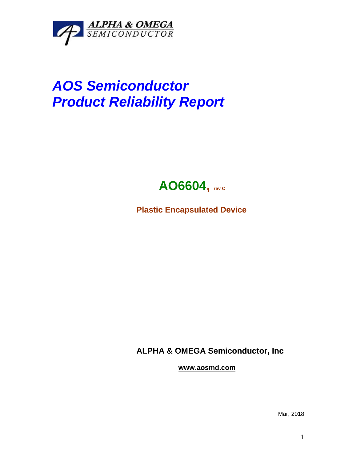

## *AOS Semiconductor Product Reliability Report*



**Plastic Encapsulated Device**

**ALPHA & OMEGA Semiconductor, Inc**

**www.aosmd.com**

Mar, 2018